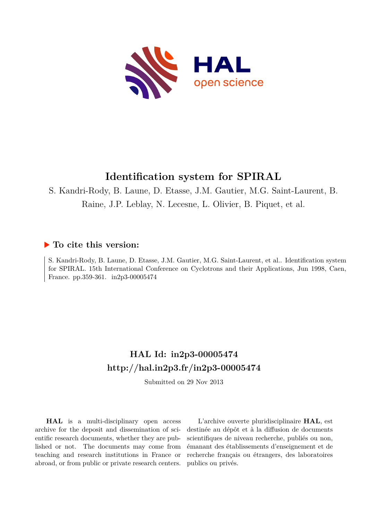

# **Identification system for SPIRAL**

S. Kandri-Rody, B. Laune, D. Etasse, J.M. Gautier, M.G. Saint-Laurent, B.

Raine, J.P. Leblay, N. Lecesne, L. Olivier, B. Piquet, et al.

# **To cite this version:**

S. Kandri-Rody, B. Laune, D. Etasse, J.M. Gautier, M.G. Saint-Laurent, et al.. Identification system for SPIRAL. 15th International Conference on Cyclotrons and their Applications, Jun 1998, Caen, France. pp.359-361. in2p3-00005474

# **HAL Id: in2p3-00005474 <http://hal.in2p3.fr/in2p3-00005474>**

Submitted on 29 Nov 2013

**HAL** is a multi-disciplinary open access archive for the deposit and dissemination of scientific research documents, whether they are published or not. The documents may come from teaching and research institutions in France or abroad, or from public or private research centers.

L'archive ouverte pluridisciplinaire **HAL**, est destinée au dépôt et à la diffusion de documents scientifiques de niveau recherche, publiés ou non, émanant des établissements d'enseignement et de recherche français ou étrangers, des laboratoires publics ou privés.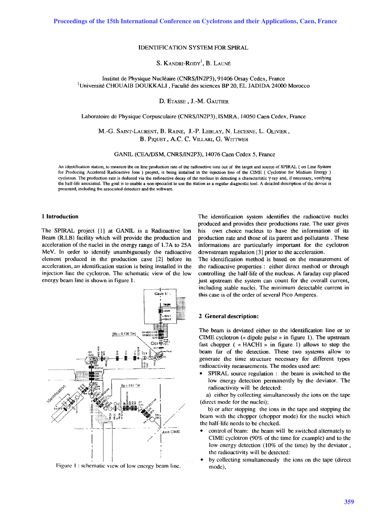# IDENTIFICATION SYSTEM FOR SPIRAL

# S. KANDRI-RODY<sup>1</sup>, B. LAUNÉ

# Institut de Physique Nucleaire (CNRS/lN2P3), 91406 Orsay Cedex, France <sup>1</sup>Université CHOUAIB DOUKKALI, Faculté des sciences BP 20, EL JADIDA 24000 Morocco

#### D. ETASSE , I.-M. GAUTIER

Laboratoire de Physique Corpusculaire (CNRS/lN2P3), ISMRA, 14050 Caen Cedex, France

# M.-G. SAINT-LAURENT, B. RAINE, I.-P. LEBLAY, N. LECESNE, L. OLIVIER, B. PIQUET, A.C. C. VILLARI, G. WITTWER

GANIL (CEA/DSM, CNRS/lN2P3), 14076 Caen Cedex 5, France

An identification station, to measure the on line production rate of the radioactive ions out of the target and source of SPIRAL ( on Line System for Producing Accelered Radioactive Ions ) project, is being installed in the injection line of the ClME ( Cyclotron for Medium Energy ) cyclotron. The production rate is deduced via the radioactive decay of the nucleus in detecting a characteristic  $\gamma$ -ray and, if necessary, verifying the half-life associated. The goal is to enable a non-specialist to use the station as a regular diagnostic tool. A detailed description of the device is presented, including the associated detectors and the software.

#### **1 Introduction**

The SPIRAL project [1] at GANIL is a Radioactive Ion Beam (R.LB) facility which will provide the production and acceleration of the nuclei in the energy range of 1.7A to 25A MeV. **In** order to identify unambiguously the radioactive element produced in the production cave [2] before its acceleration, an identification station is being installed in the injection line the cyclotron. The schematic view of the low energy beam line is shown in figure 1.



Figure I : schematic view of low energy beam line.

The identification system identifies the radioactive nuclei produced and provides their productions rate. The user gives his own choice nucleus to have the information of its production rate and those of its parent and pollutants . These informations are particularly important for the cyclotron downstream regulation [3] prior to the acceleration.

The identification method is based on the measurement of the radioactive properties: either direct method or through controlling the half-life of the nucleus. A faraday cup placed just upstream the system can count for the overall current, including stable nuclei. The minimum detectable current in this case is of the order of several Pico Amperes.

#### 2 **General description:**

The beam is deviated either to the identification line or to ClME cyclotron (<< dipole pulse» in figure 1). The upstream fast chopper ( «HACHI » in figure 1) allows to stop the beam far of the detection. These two systems allow to generate the time structure necessary for different types radioactivity measurements. The modes used are:

SPIRAL source regulation: the beam is switched to the low energy detection permanently by the deviator. The radioactivity will be detected:

a) either by collecting simultaneously the ions on the tape (direct mode for the nuclei);

b) or after stopping the ions in the tape and stopping the beam with the chopper (chopper mode) for the nuclei which the half-life needs to be checked.

- control of beam: the beam will be switched alternately to CIME cyclotron (90% of the time for example) and to the low energy detection (10% of the time) by the deviator, the radioactivity will be detected:
- by collecting simultaneously the ions on the tape (direct mode),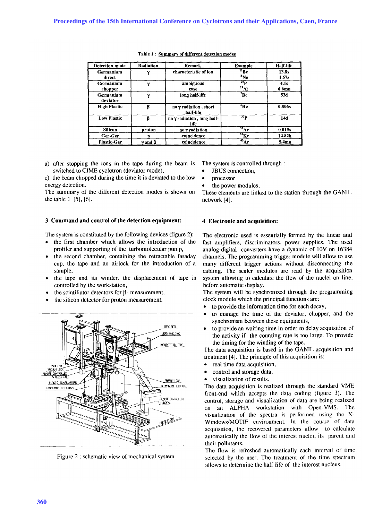| <b>Detection mode</b> | Radiation            | <b>Remark</b>                      | <b>Example</b>                                 | Half-life         |
|-----------------------|----------------------|------------------------------------|------------------------------------------------|-------------------|
| Germanium<br>direct   | v                    | characteristic of ion              | $^{11}$ <sub>Re</sub><br>$^{18}$ Ne            | 13.8s<br>1.67s    |
| Germanium<br>chopper  | $\overline{ }$       | ambiguous<br>case                  | 29 <sub>D</sub><br>$^{29}$ Al                  | 4.1s<br>$6.6$ mn  |
| Germanium<br>deviator | $\sim$               | long half-life                     | <sup>7</sup> Be                                | 53d               |
| <b>High Plastic</b>   | B.                   | no y radiation, short<br>half-life | °Не                                            | 0.806s            |
| <b>Low Plastic</b>    | B.                   | no y radiation, long half-<br>life | 32 <sub>p</sub>                                | 14d               |
| Silicon               | proton               | no y radiation                     | $\overline{\mathbf{H}_{\mathbf{A}\mathbf{r}}}$ | 0.015s            |
| Ger-Ger               |                      | coincidence                        | $76$ Kr                                        | 14.82h            |
| <b>Plastic-Ger</b>    | $\gamma$ and $\beta$ | coincidence                        | $43\text{Ar}$                                  | 5.4 <sub>mn</sub> |

#### Table 1 : Summary of different detection modes

a) after stopping the ions in the tape during the beam is switched to CIME cyclotron (deviator mode),

c) the beam chopped during the time it is deviated to the low energy detection.

The summary of the different detection modes is shown on the table I [5], [6].

# 3 **Command and control of the detection equipment:**

The system is constituted by the following devices (figure 2):

- the first chamber which allows the introduction of the profiler and supporting of the turbomolecular pump,
- the second chamber, containing the retractable faraday cup, the tape and an airlock for the introduction of a sample,
- the tape and its winder. the displacement of tape is controlled by the workstation,
- the scintillator detectors for  $\beta$  measurement,
- the silicon detector for proton measurement.



Figure 2 : schematic view of mechanical system

The system is controlled through:

- JBUS connection,
- processor
- the power modules,

These elements are linked to the station through the GANIL network [4].

#### **4 Electronic and acquisition:**

The electronic used is essentially formed by the linear and fast amplifiers, discriminators, power supplies. The used analog-digital converters have a dynamic of IOV on 16384 channels. The programming trigger module will allow to use many different trigger actions without disconnecting the cabling. The scaler modules are read by the acquisition system allowing to calculate the flow of the nuclei on line, before automatic display.

The system will be synchronized through the programming clock module which the principal functions are:

- to provide the information time for each decay,
- to manage the time of the deviator, chopper, and the synchronism between these equipments,
- to provide an waiting time in order to delay acquisition of the activity if the counting rate is too large. To provide the timing for the winding of the tape.

The data acquisition is based in the GANIL acquisition and treatment [4]. The principle of this acquisition is:

- real time data acquisition,
- control and storage data,
- visualization of results.

The data acquisition is realized through the standard VME front-end which accepts the data coding (figure 3). The control, storage and visualization of data are being realized on an ALPHA workstation with Open-VMS. The visualization of the spectra is performed using the X-Windows/MOTIF environment. In the course of data acquisition, the recovered parameters allow to calculate automatically the flow of the interest nuclei, its parent and their pollutants.

The flow is refreshed automatically each interval of time selected by the user. The treatment of the time spectrum allows to determine the half-life of the interest nucleus.